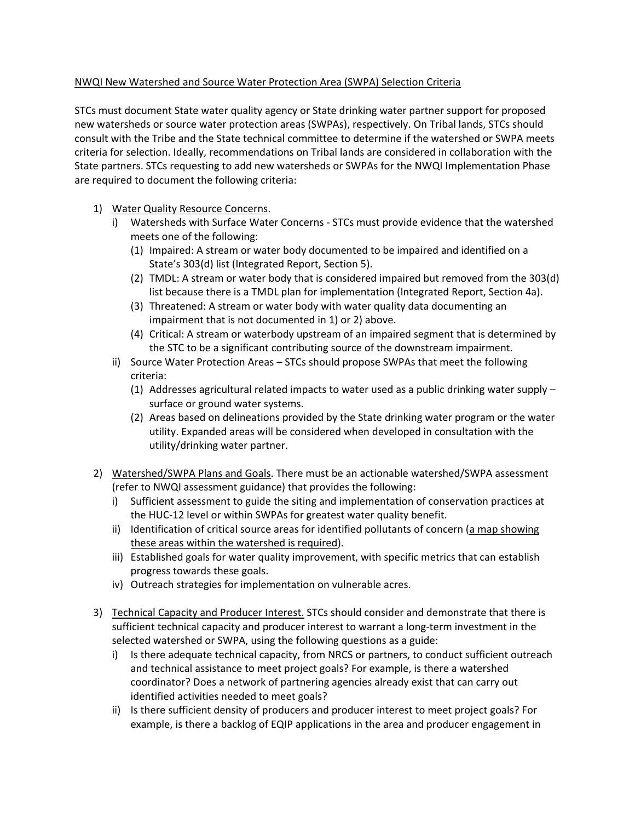## NWQI New Watershed and Source Water Protection Area (SWPA) Selection Criteria

STCs must document State water quality agency or State drinking water partner support for proposed new watersheds or source water protection areas (SWPAs), respectively. On Tribal lands, STCs should consult with the Tribe and the State technical committee to determine if the watershed or SWPA meets criteria for selection. Ideally, recommendations on Tribal lands are considered in collaboration with the State partners. STCs requesting to add new watersheds or SWPAs for the NWQI Implementation Phase are required to document the following criteria:

- 1) Water Quality Resource Concerns.
	- i) Watersheds with Surface Water Concerns STCs must provide evidence that the watershed meets one of the following:
		- (1) Impaired: A stream or water body documented to be impaired and identified on a State's 303(d) list (Integrated Report, Section 5).
		- (2) TMDL: A stream or water body that is considered impaired but removed from the 303(d) list because there is a TMDL plan for implementation (Integrated Report, Section 4a).
		- (3) Threatened: A stream or water body with water quality data documenting an impairment that is not documented in 1) or 2) above.
		- (4) Critical: A stream or waterbody upstream of an impaired segment that is determined by the STC to be a significant contributing source of the downstream impairment.
	- ii) Source Water Protection Areas STCs should propose SWPAs that meet the following criteria:
		- (1) Addresses agricultural related impacts to water used as a public drinking water supply surface or ground water systems.
		- (2) Areas based on delineations provided by the State drinking water program or the water utility. Expanded areas will be considered when developed in consultation with the utility/drinking water partner.
- 2) Watershed/SWPA Plans and Goals. There must be an actionable watershed/SWPA assessment (refer to NWQI assessment guidance) that provides the following:
	- i) Sufficient assessment to guide the siting and implementation of conservation practices at the HUC-12 level or within SWPAs for greatest water quality benefit.
	- ii) Identification of critical source areas for identified pollutants of concern (a map showing these areas within the watershed is required).
	- iii) Established goals for water quality improvement, with specific metrics that can establish progress towards these goals.
	- iv) Outreach strategies for implementation on vulnerable acres.
- 3) Technical Capacity and Producer Interest. STCs should consider and demonstrate that there is sufficient technical capacity and producer interest to warrant a long-term investment in the selected watershed or SWPA, using the following questions as a guide:
	- i) Is there adequate technical capacity, from NRCS or partners, to conduct sufficient outreach and technical assistance to meet project goals? For example, is there a watershed coordinator? Does a network of partnering agencies already exist that can carry out identified activities needed to meet goals?
	- ii) Is there sufficient density of producers and producer interest to meet project goals? For example, is there a backlog of EQIP applications in the area and producer engagement in